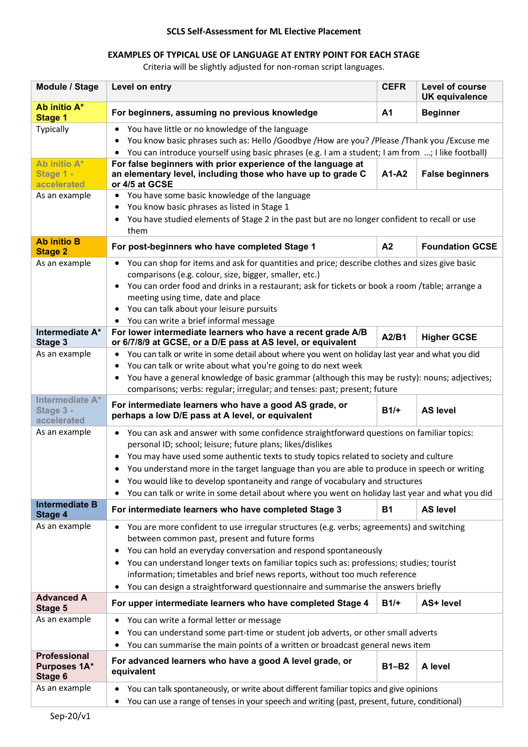## **SCLS Self-Assessment for ML Elective Placement**

## **EXAMPLES OF TYPICAL USE OF LANGUAGE AT ENTRY POINT FOR EACH STAGE**

Criteria will be slightly adjusted for non-roman script languages.

| Module / Stage                                 | Level on entry                                                                                                                                                                                                                                                                                                                                                                                                                                                                                                                                                          | <b>CEFR</b>    | Level of course<br><b>UK equivalence</b> |  |
|------------------------------------------------|-------------------------------------------------------------------------------------------------------------------------------------------------------------------------------------------------------------------------------------------------------------------------------------------------------------------------------------------------------------------------------------------------------------------------------------------------------------------------------------------------------------------------------------------------------------------------|----------------|------------------------------------------|--|
| Ab initio A*<br><b>Stage 1</b>                 | For beginners, assuming no previous knowledge                                                                                                                                                                                                                                                                                                                                                                                                                                                                                                                           | A <sub>1</sub> | <b>Beginner</b>                          |  |
| Typically                                      | You have little or no knowledge of the language<br>٠<br>You know basic phrases such as: Hello /Goodbye /How are you? /Please /Thank you /Excuse me<br>٠<br>You can introduce yourself using basic phrases (e.g. I am a student; I am from ; I like football)<br>$\bullet$                                                                                                                                                                                                                                                                                               |                |                                          |  |
| Ab initio A*<br>Stage 1 -<br>accelerated       | For false beginners with prior experience of the language at<br>an elementary level, including those who have up to grade C<br>or 4/5 at GCSE                                                                                                                                                                                                                                                                                                                                                                                                                           | A1-A2          | <b>False beginners</b>                   |  |
| As an example                                  | You have some basic knowledge of the language<br>$\bullet$<br>You know basic phrases as listed in Stage 1<br>٠<br>You have studied elements of Stage 2 in the past but are no longer confident to recall or use<br>them                                                                                                                                                                                                                                                                                                                                                 |                |                                          |  |
| <b>Ab initio B</b><br><b>Stage 2</b>           | For post-beginners who have completed Stage 1                                                                                                                                                                                                                                                                                                                                                                                                                                                                                                                           | A <sub>2</sub> | <b>Foundation GCSE</b>                   |  |
| As an example                                  | You can shop for items and ask for quantities and price; describe clothes and sizes give basic<br>٠<br>comparisons (e.g. colour, size, bigger, smaller, etc.)<br>You can order food and drinks in a restaurant; ask for tickets or book a room /table; arrange a<br>٠<br>meeting using time, date and place<br>You can talk about your leisure pursuits<br>٠<br>You can write a brief informal message                                                                                                                                                                  |                |                                          |  |
| Intermediate A*<br>Stage 3                     | For lower intermediate learners who have a recent grade A/B<br>or 6/7/8/9 at GCSE, or a D/E pass at AS level, or equivalent                                                                                                                                                                                                                                                                                                                                                                                                                                             | A2/B1          | <b>Higher GCSE</b>                       |  |
| As an example                                  | You can talk or write in some detail about where you went on holiday last year and what you did<br>٠<br>You can talk or write about what you're going to do next week<br>$\bullet$<br>You have a general knowledge of basic grammar (although this may be rusty): nouns; adjectives;<br>٠<br>comparisons; verbs: regular; irregular; and tenses: past; present; future                                                                                                                                                                                                  |                |                                          |  |
| Intermediate A*<br>Stage 3 -<br>accelerated    | For intermediate learners who have a good AS grade, or<br>perhaps a low D/E pass at A level, or equivalent                                                                                                                                                                                                                                                                                                                                                                                                                                                              | $B1/+$         | <b>AS level</b>                          |  |
| As an example                                  | You can ask and answer with some confidence straightforward questions on familiar topics:<br>$\bullet$<br>personal ID; school; leisure; future plans; likes/dislikes<br>You may have used some authentic texts to study topics related to society and culture<br>٠<br>You understand more in the target language than you are able to produce in speech or writing<br>$\bullet$<br>You would like to develop spontaneity and range of vocabulary and structures<br>You can talk or write in some detail about where you went on holiday last year and what you did<br>٠ |                |                                          |  |
| <b>Intermediate B</b><br>Stage 4               | For intermediate learners who have completed Stage 3                                                                                                                                                                                                                                                                                                                                                                                                                                                                                                                    | <b>B1</b>      | <b>AS level</b>                          |  |
| As an example                                  | You are more confident to use irregular structures (e.g. verbs; agreements) and switching<br>٠<br>between common past, present and future forms<br>You can hold an everyday conversation and respond spontaneously<br>٠<br>You can understand longer texts on familiar topics such as: professions; studies; tourist<br>٠<br>information; timetables and brief news reports, without too much reference<br>You can design a straightforward questionnaire and summarise the answers briefly<br>$\bullet$                                                                |                |                                          |  |
| <b>Advanced A</b><br>Stage 5                   | For upper intermediate learners who have completed Stage 4                                                                                                                                                                                                                                                                                                                                                                                                                                                                                                              | $B1/+$         | AS+ level                                |  |
| As an example                                  | You can write a formal letter or message<br>$\bullet$<br>You can understand some part-time or student job adverts, or other small adverts<br>٠<br>You can summarise the main points of a written or broadcast general news item<br>٠                                                                                                                                                                                                                                                                                                                                    |                |                                          |  |
| <b>Professional</b><br>Purposes 1A*<br>Stage 6 | For advanced learners who have a good A level grade, or<br>equivalent                                                                                                                                                                                                                                                                                                                                                                                                                                                                                                   | <b>B1-B2</b>   | A level                                  |  |
| As an example                                  | You can talk spontaneously, or write about different familiar topics and give opinions<br>٠<br>You can use a range of tenses in your speech and writing (past, present, future, conditional)<br>٠                                                                                                                                                                                                                                                                                                                                                                       |                |                                          |  |